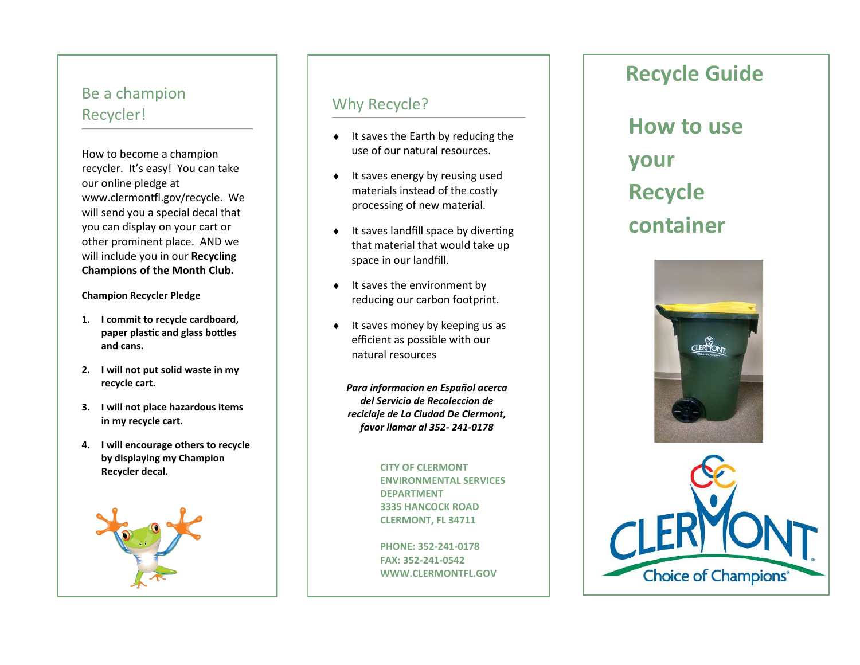### Be a champion Recycler!

How to become a champion recycler. It's easy! You can take our online pledge at www.clermontfl.gov/recycle. We will send you a special decal that you can display on your cart or other prominent place. AND we will include you in our **Recycling Champions of the Month Club.** 

#### **Champion Recycler Pledge**

- **1. I commit to recycle cardboard, paper plastic and glass bottles and cans.**
- **2. I will not put solid waste in my recycle cart.**
- **3. I will not place hazardous items in my recycle cart.**
- **4. I will encourage others to recycle by displaying my Champion Recycler decal.**



### Why Recycle?

- $\bullet$  It saves the Earth by reducing the use of our natural resources.
- $\bullet$  It saves energy by reusing used materials instead of the costly processing of new material.
- $\bullet$  It saves landfill space by diverting that material that would take up space in our landfill.
- $\bullet$  It saves the environment by reducing our carbon footprint.
- $\bullet$  It saves money by keeping us as efficient as possible with our natural resources

*Para informacion en Español acerca del Servicio de Recoleccion de reciclaje de La Ciudad De Clermont, favor llamar al 352 - 241 -0178* 

> **CITY OF CLERMONT ENVIRONMENTAL SERVICES DEPARTMENT 3335 HANCOCK ROAD CLERMONT, FL 34711**

**PHONE: 352 -241 -0178 FAX: 352 -241 -0542 WWW.CLERMONTFL.GOV** 

# **Recycle Guide**

**How to use your Recycle container**